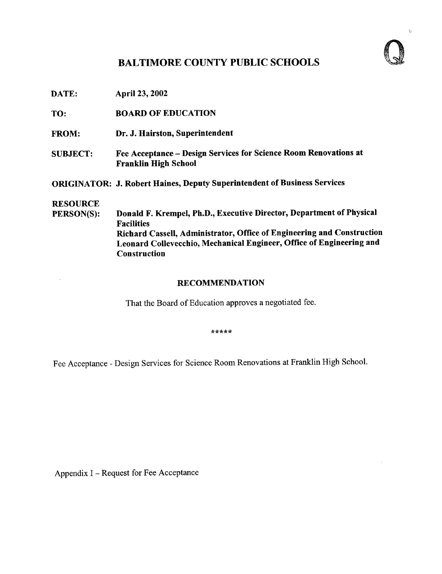## BALTIMORE COUNTY PUBLIC SCHOOLS



 $\overline{V}$ 

DATE: April 23, 2002

TO: BOARD OF EDUCATION

- FROM: Dr. J. Hairston, Superintendent
- SUBJECT: Fee Acceptance Design Services for Science Room Renovations at Franklin High School

ORIGINATOR: J. Robert Haines, Deputy Superintendent of Business Services

## **RESOURCE**<br>PERSON(S):

Donald F. Krempel, Ph.D., Executive Director, Department of Physical Facilities Richard Cassell, Administrator, Office of Engineering and Construction Leonard Collevecchio, Mechanical Engineer, Office of Engineering and **Construction** 

## RECOMMENDATION

That the Board of Education approves a negotiated fee.

 $*****$ 

Fee Acceptance - Design Services for Science Room Renovations at Franklin High School.

Appendix <sup>I</sup> - Request for Fee Acceptance